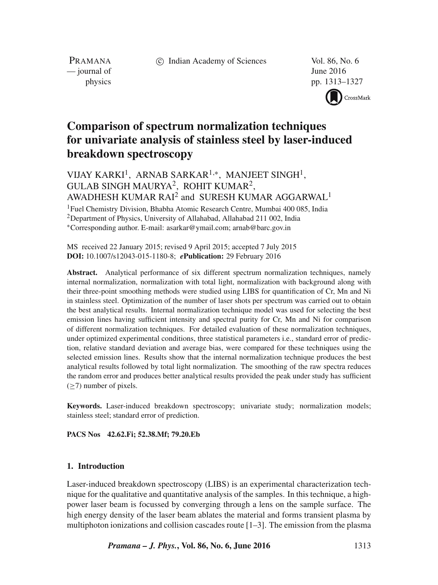c Indian Academy of Sciences Vol. 86, No. 6

PRAMANA  $\frac{1}{2016}$  June 2016

physics pp. 1313–1327 CrossMark

# **Comparison of spectrum normalization techniques for univariate analysis of stainless steel by laser-induced breakdown spectroscopy**

VIJAY KARKI<sup>1</sup>, ARNAB SARKAR<sup>1,∗</sup>, MANJEET SINGH<sup>1</sup>, GULAB SINGH MAURYA2, ROHIT KUMAR2, AWADHESH KUMAR RAI<sup>2</sup> and SURESH KUMAR AGGARWAL<sup>1</sup>

<sup>1</sup>Fuel Chemistry Division, Bhabha Atomic Research Centre, Mumbai 400 085, India <sup>2</sup>Department of Physics, University of Allahabad, Allahabad 211 002, India ∗Corresponding author. E-mail: asarkar@ymail.com; arnab@barc.gov.in

MS received 22 January 2015; revised 9 April 2015; accepted 7 July 2015 **DOI:** 10.1007/s12043-015-1180-8; *e***Publication:** 29 February 2016

**Abstract.** Analytical performance of six different spectrum normalization techniques, namely internal normalization, normalization with total light, normalization with background along with their three-point smoothing methods were studied using LIBS for quantification of Cr, Mn and Ni in stainless steel. Optimization of the number of laser shots per spectrum was carried out to obtain the best analytical results. Internal normalization technique model was used for selecting the best emission lines having sufficient intensity and spectral purity for Cr, Mn and Ni for comparison of different normalization techniques. For detailed evaluation of these normalization techniques, under optimized experimental conditions, three statistical parameters i.e., standard error of prediction, relative standard deviation and average bias, were compared for these techniques using the selected emission lines. Results show that the internal normalization technique produces the best analytical results followed by total light normalization. The smoothing of the raw spectra reduces the random error and produces better analytical results provided the peak under study has sufficient (≥7) number of pixels.

**Keywords.** Laser-induced breakdown spectroscopy; univariate study; normalization models; stainless steel; standard error of prediction.

**PACS Nos 42.62.Fi; 52.38.Mf; 79.20.Eb**

#### **1. Introduction**

Laser-induced breakdown spectroscopy (LIBS) is an experimental characterization technique for the qualitative and quantitative analysis of the samples. In this technique, a highpower laser beam is focussed by converging through a lens on the sample surface. The high energy density of the laser beam ablates the material and forms transient plasma by multiphoton ionizations and collision cascades route  $[1-3]$ . The emission from the plasma

*Pramana – J. Phys.***, Vol. 86, No. 6, June 2016** 1313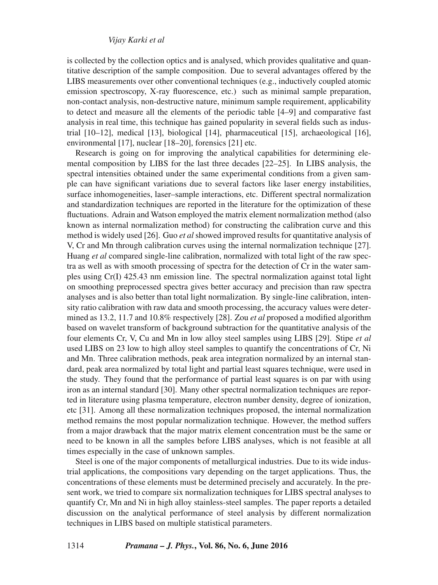is collected by the collection optics and is analysed, which provides qualitative and quantitative description of the sample composition. Due to several advantages offered by the LIBS measurements over other conventional techniques (e.g., inductively coupled atomic emission spectroscopy, X-ray fluorescence, etc.) such as minimal sample preparation, non-contact analysis, non-destructive nature, minimum sample requirement, applicability to detect and measure all the elements of the periodic table [4–9] and comparative fast analysis in real time, this technique has gained popularity in several fields such as industrial [10–12], medical [13], biological [14], pharmaceutical [15], archaeological [16], environmental [17], nuclear [18–20], forensics [21] etc.

Research is going on for improving the analytical capabilities for determining elemental composition by LIBS for the last three decades [22–25]. In LIBS analysis, the spectral intensities obtained under the same experimental conditions from a given sample can have significant variations due to several factors like laser energy instabilities, surface inhomogeneities, laser–sample interactions, etc. Different spectral normalization and standardization techniques are reported in the literature for the optimization of these fluctuations. Adrain and Watson employed the matrix element normalization method (also known as internal normalization method) for constructing the calibration curve and this method is widely used [26]. Guo *et al* showed improved results for quantitative analysis of V, Cr and Mn through calibration curves using the internal normalization technique [27]. Huang *et al* compared single-line calibration, normalized with total light of the raw spectra as well as with smooth processing of spectra for the detection of Cr in the water samples using Cr(I) 425.43 nm emission line. The spectral normalization against total light on smoothing preprocessed spectra gives better accuracy and precision than raw spectra analyses and is also better than total light normalization. By single-line calibration, intensity ratio calibration with raw data and smooth processing, the accuracy values were determined as 13.2, 11.7 and 10.8% respectively [28]. Zou *et al* proposed a modified algorithm based on wavelet transform of background subtraction for the quantitative analysis of the four elements Cr, V, Cu and Mn in low alloy steel samples using LIBS [29]. Stipe *et al* used LIBS on 23 low to high alloy steel samples to quantify the concentrations of Cr, Ni and Mn. Three calibration methods, peak area integration normalized by an internal standard, peak area normalized by total light and partial least squares technique, were used in the study. They found that the performance of partial least squares is on par with using iron as an internal standard [30]. Many other spectral normalization techniques are reported in literature using plasma temperature, electron number density, degree of ionization, etc [31]. Among all these normalization techniques proposed, the internal normalization method remains the most popular normalization technique. However, the method suffers from a major drawback that the major matrix element concentration must be the same or need to be known in all the samples before LIBS analyses, which is not feasible at all times especially in the case of unknown samples.

Steel is one of the major components of metallurgical industries. Due to its wide industrial applications, the compositions vary depending on the target applications. Thus, the concentrations of these elements must be determined precisely and accurately. In the present work, we tried to compare six normalization techniques for LIBS spectral analyses to quantify Cr, Mn and Ni in high alloy stainless-steel samples. The paper reports a detailed discussion on the analytical performance of steel analysis by different normalization techniques in LIBS based on multiple statistical parameters.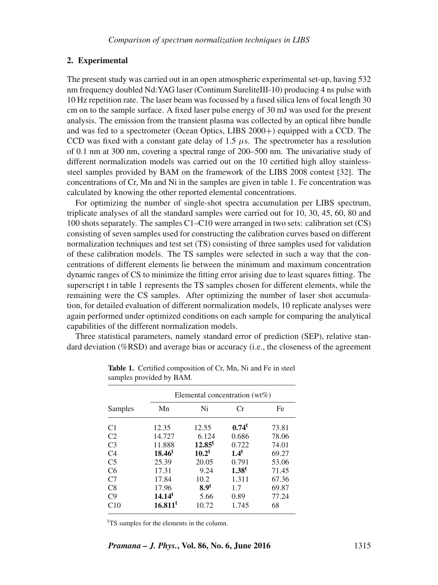## **2. Experimental**

The present study was carried out in an open atmospheric experimental set-up, having 532 nm frequency doubled Nd:YAG laser (Continum SureliteIII-10) producing 4 ns pulse with 10 Hz repetition rate. The laser beam was focussed by a fused silica lens of focal length 30 cm on to the sample surface. A fixed laser pulse energy of 30 mJ was used for the present analysis. The emission from the transient plasma was collected by an optical fibre bundle and was fed to a spectrometer (Ocean Optics, LIBS 2000+) equipped with a CCD. The CCD was fixed with a constant gate delay of 1.5  $\mu$ s. The spectrometer has a resolution of 0.1 nm at 300 nm, covering a spectral range of 200–500 nm. The univariative study of different normalization models was carried out on the 10 certified high alloy stainlesssteel samples provided by BAM on the framework of the LIBS 2008 contest [32]. The concentrations of Cr, Mn and Ni in the samples are given in table 1. Fe concentration was calculated by knowing the other reported elemental concentrations.

For optimizing the number of single-shot spectra accumulation per LIBS spectrum, triplicate analyses of all the standard samples were carried out for 10, 30, 45, 60, 80 and 100 shots separately. The samples C1–C10 were arranged in two sets: calibration set (CS) consisting of seven samples used for constructing the calibration curves based on different normalization techniques and test set (TS) consisting of three samples used for validation of these calibration models. The TS samples were selected in such a way that the concentrations of different elements lie between the minimum and maximum concentration dynamic ranges of CS to minimize the fitting error arising due to least squares fitting. The superscript t in table 1 represents the TS samples chosen for different elements, while the remaining were the CS samples. After optimizing the number of laser shot accumulation, for detailed evaluation of different normalization models, 10 replicate analyses were again performed under optimized conditions on each sample for comparing the analytical capabilities of the different normalization models.

Three statistical parameters, namely standard error of prediction (SEP), relative standard deviation (%RSD) and average bias or accuracy (i.e., the closeness of the agreement

|                | Elemental concentration $(wt\%)$ |                  |                   |       |  |
|----------------|----------------------------------|------------------|-------------------|-------|--|
| Samples        | Mn                               | Ni               | Cr                | Fe.   |  |
| C <sub>1</sub> | 12.35                            | 12.55            | $0.74^t$          | 73.81 |  |
| C <sub>2</sub> | 14.727                           | 6.124            | 0.686             | 78.06 |  |
| C <sub>3</sub> | 11.888                           | $12.85^t$        | 0.722             | 74.01 |  |
| C <sub>4</sub> | $18.46^t$                        | $10.2^t$         | $1.4^t$           | 69.27 |  |
| C <sub>5</sub> | 25.39                            | 20.05            | 0.791             | 53.06 |  |
| C <sub>6</sub> | 17.31                            | 9.24             | 1.38 <sup>t</sup> | 71.45 |  |
| C <sub>7</sub> | 17.84                            | 10.2             | 1.311             | 67.36 |  |
| C8             | 17.96                            | 8.9 <sup>t</sup> | 1.7               | 69.87 |  |
| C <sub>9</sub> | 14.14 <sup>t</sup>               | 5.66             | 0.89              | 77.24 |  |
| C10            | 16.811 <sup>t</sup>              | 10.72            | 1.745             | 68    |  |

**Table 1.** Certified composition of Cr, Mn, Ni and Fe in steel samples provided by BAM.

<sup>t</sup>TS samples for the elements in the column.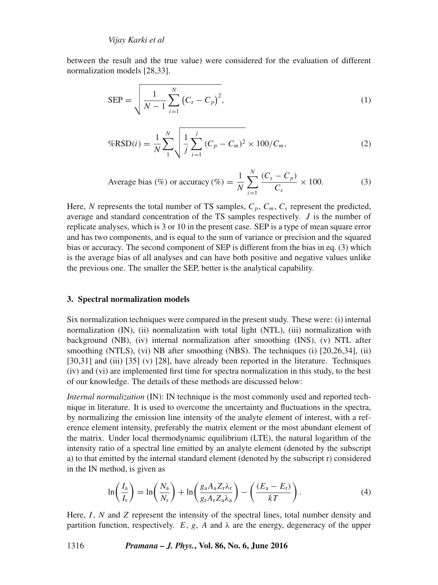between the result and the true value) were considered for the evaluation of different normalization models [28,33].

$$
SEP = \sqrt{\frac{1}{N-1} \sum_{i=1}^{N} (C_s - C_p)^2},
$$
 (1)

$$
\%RSD(i) = \frac{1}{N} \sum_{1}^{N} \sqrt{\frac{1}{j} \sum_{i=1}^{j} (C_p - C_m)^2} \times 100 / C_m, \tag{2}
$$

Average bias (*%*) or accuracy (*%*) = 
$$
\frac{1}{N} \sum_{i=1}^{N} \frac{(C_s - C_p)}{C_s} \times 100.
$$
 (3)

Here, N represents the total number of TS samples,  $C_p$ ,  $C_m$ ,  $C_s$  represent the predicted, average and standard concentration of the TS samples respectively.  $J$  is the number of replicate analyses, which is 3 or 10 in the present case. SEP is a type of mean square error and has two components, and is equal to the sum of variance or precision and the squared bias or accuracy. The second component of SEP is different from the bias in eq. (3) which is the average bias of all analyses and can have both positive and negative values unlike the previous one. The smaller the SEP, better is the analytical capability.

#### **3. Spectral normalization models**

Six normalization techniques were compared in the present study. These were: (i) internal normalization (IN), (ii) normalization with total light (NTL), (iii) normalization with background (NB), (iv) internal normalization after smoothing (INS), (v) NTL after smoothing (NTLS), (vi) NB after smoothing (NBS). The techniques (i) [20,26,34], (ii) [30,31] and (iii) [35] (v) [28], have already been reported in the literature. Techniques (iv) and (vi) are implemented first time for spectra normalization in this study, to the best of our knowledge. The details of these methods are discussed below:

*Internal normalization* (IN): IN technique is the most commonly used and reported technique in literature. It is used to overcome the uncertainty and fluctuations in the spectra, by normalizing the emission line intensity of the analyte element of interest, with a reference element intensity, preferably the matrix element or the most abundant element of the matrix. Under local thermodynamic equilibrium (LTE), the natural logarithm of the intensity ratio of a spectral line emitted by an analyte element (denoted by the subscript a) to that emitted by the internal standard element (denoted by the subscript r) considered in the IN method, is given as

$$
\ln\left(\frac{I_a}{I_r}\right) = \ln\left(\frac{N_a}{N_r}\right) + \ln\left(\frac{g_a A_a Z_r \lambda_r}{g_r A_r Z_a \lambda_a}\right) - \left(\frac{(E_a - E_r)}{kT}\right). \tag{4}
$$

Here,  $I$ ,  $N$  and  $Z$  represent the intensity of the spectral lines, total number density and partition function, respectively. E, g, A and  $\lambda$  are the energy, degeneracy of the upper

1316 *Pramana – J. Phys.***, Vol. 86, No. 6, June 2016**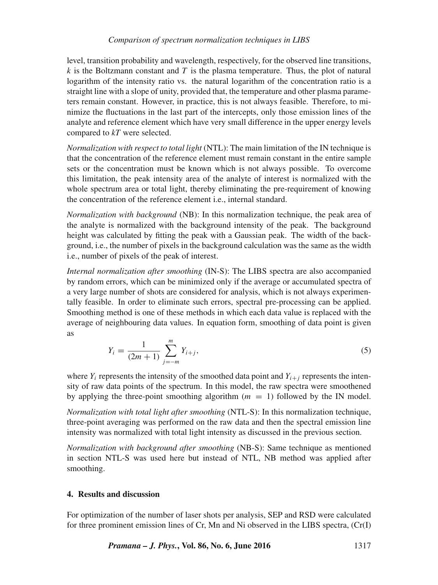level, transition probability and wavelength, respectively, for the observed line transitions, k is the Boltzmann constant and T is the plasma temperature. Thus, the plot of natural logarithm of the intensity ratio vs. the natural logarithm of the concentration ratio is a straight line with a slope of unity, provided that, the temperature and other plasma parameters remain constant. However, in practice, this is not always feasible. Therefore, to minimize the fluctuations in the last part of the intercepts, only those emission lines of the analyte and reference element which have very small difference in the upper energy levels compared to *kT* were selected.

*Normalization with respect to total light* (NTL): The main limitation of the IN technique is that the concentration of the reference element must remain constant in the entire sample sets or the concentration must be known which is not always possible. To overcome this limitation, the peak intensity area of the analyte of interest is normalized with the whole spectrum area or total light, thereby eliminating the pre-requirement of knowing the concentration of the reference element i.e., internal standard.

*Normalization with background* (NB): In this normalization technique, the peak area of the analyte is normalized with the background intensity of the peak. The background height was calculated by fitting the peak with a Gaussian peak. The width of the background, i.e., the number of pixels in the background calculation was the same as the width i.e., number of pixels of the peak of interest.

*Internal normalization after smoothing* (IN-S): The LIBS spectra are also accompanied by random errors, which can be minimized only if the average or accumulated spectra of a very large number of shots are considered for analysis, which is not always experimentally feasible. In order to eliminate such errors, spectral pre-processing can be applied. Smoothing method is one of these methods in which each data value is replaced with the average of neighbouring data values. In equation form, smoothing of data point is given as

$$
Y_i = \frac{1}{(2m+1)} \sum_{j=-m}^{m} Y_{i+j},
$$
\n(5)

where  $Y_i$  represents the intensity of the smoothed data point and  $Y_{i+j}$  represents the intensity of raw data points of the spectrum. In this model, the raw spectra were smoothened by applying the three-point smoothing algorithm  $(m = 1)$  followed by the IN model.

*Normalization with total light after smoothing* (NTL-S): In this normalization technique, three-point averaging was performed on the raw data and then the spectral emission line intensity was normalized with total light intensity as discussed in the previous section.

*Normalization with background after smoothing* (NB-S): Same technique as mentioned in section NTL-S was used here but instead of NTL, NB method was applied after smoothing.

## **4. Results and discussion**

For optimization of the number of laser shots per analysis, SEP and RSD were calculated for three prominent emission lines of Cr, Mn and Ni observed in the LIBS spectra, (Cr(I)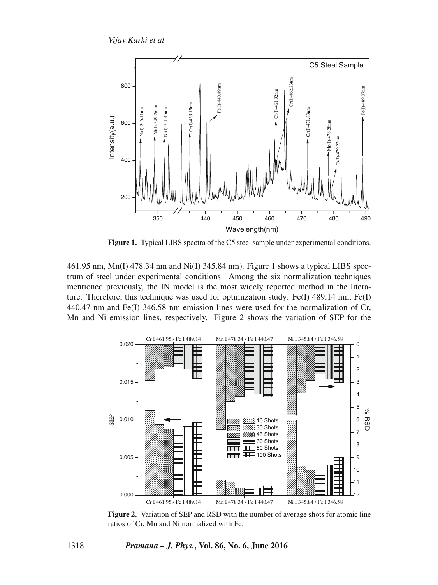

Figure 1. Typical LIBS spectra of the C5 steel sample under experimental conditions.

461.95 nm, Mn(I) 478.34 nm and Ni(I) 345.84 nm). Figure 1 shows a typical LIBS spectrum of steel under experimental conditions. Among the six normalization techniques mentioned previously, the IN model is the most widely reported method in the literature. Therefore, this technique was used for optimization study. Fe(I)  $489.14$  nm, Fe(I) 440.47 nm and Fe(I) 346.58 nm emission lines were used for the normalization of Cr, Mn and Ni emission lines, respectively. Figure 2 shows the variation of SEP for the



**Figure 2.** Variation of SEP and RSD with the number of average shots for atomic line ratios of Cr, Mn and Ni normalized with Fe.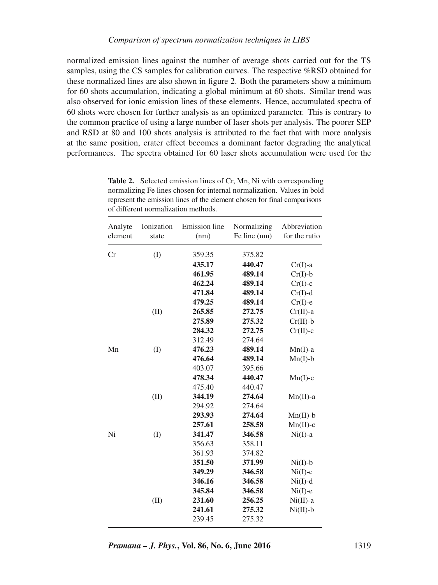normalized emission lines against the number of average shots carried out for the TS samples, using the CS samples for calibration curves. The respective %RSD obtained for these normalized lines are also shown in figure 2. Both the parameters show a minimum for 60 shots accumulation, indicating a global minimum at 60 shots. Similar trend was also observed for ionic emission lines of these elements. Hence, accumulated spectra of 60 shots were chosen for further analysis as an optimized parameter. This is contrary to the common practice of using a large number of laser shots per analysis. The poorer SEP and RSD at 80 and 100 shots analysis is attributed to the fact that with more analysis at the same position, crater effect becomes a dominant factor degrading the analytical performances. The spectra obtained for 60 laser shots accumulation were used for the

| Analyte<br>element | Ionization<br>state | <b>Emission</b> line<br>(nm) | Normalizing<br>Fe line (nm) | Abbreviation<br>for the ratio |
|--------------------|---------------------|------------------------------|-----------------------------|-------------------------------|
| Cr                 | (I)                 | 359.35                       | 375.82                      |                               |
|                    |                     | 435.17                       | 440.47                      | $Cr(I)$ -a                    |
|                    |                     | 461.95                       | 489.14                      | $Cr(I)-b$                     |
|                    |                     | 462.24                       | 489.14                      | $Cr(I)-c$                     |
|                    |                     | 471.84                       | 489.14                      | $Cr(I)-d$                     |
|                    |                     | 479.25                       | 489.14                      | $Cr(I)-e$                     |
|                    | (II)                | 265.85                       | 272.75                      | $Cr(II)$ -a                   |
|                    |                     | 275.89                       | 275.32                      | $Cr(II)-b$                    |
|                    |                     | 284.32                       | 272.75                      | $Cr(II)-c$                    |
|                    |                     | 312.49                       | 274.64                      |                               |
| Mn                 | (I)                 | 476.23                       | 489.14                      | $Mn(I)$ -a                    |
|                    |                     | 476.64                       | 489.14                      | $Mn(I)-b$                     |
|                    |                     | 403.07                       | 395.66                      |                               |
|                    |                     | 478.34                       | 440.47                      | $Mn(I)-c$                     |
|                    |                     | 475.40                       | 440.47                      |                               |
|                    | (II)                | 344.19                       | 274.64                      | $Mn(II)$ -a                   |
|                    |                     | 294.92                       | 274.64                      |                               |
|                    |                     | 293.93                       | 274.64                      | $Mn(II)-b$                    |
|                    |                     | 257.61                       | 258.58                      | $Mn(II)-c$                    |
| Ni                 | (I)                 | 341.47                       | 346.58                      | $Ni(I)$ -a                    |
|                    |                     | 356.63                       | 358.11                      |                               |
|                    |                     | 361.93                       | 374.82                      |                               |
|                    |                     | 351.50                       | 371.99                      | $Ni(I)-b$                     |
|                    |                     | 349.29                       | 346.58                      | $Ni(I)-c$                     |
|                    |                     | 346.16                       | 346.58                      | $Ni(I)-d$                     |
|                    |                     | 345.84                       | 346.58                      | $Ni(I)-e$                     |
|                    | (II)                | 231.60                       | 256.25                      | $Ni(II)$ -a                   |
|                    |                     | 241.61                       | 275.32                      | $Ni(II)-b$                    |
|                    |                     | 239.45                       | 275.32                      |                               |
|                    |                     |                              |                             |                               |

**Table 2.** Selected emission lines of Cr, Mn, Ni with corresponding normalizing Fe lines chosen for internal normalization. Values in bold represent the emission lines of the element chosen for final comparisons of different normalization methods.

*Pramana – J. Phys.***, Vol. 86, No. 6, June 2016** 1319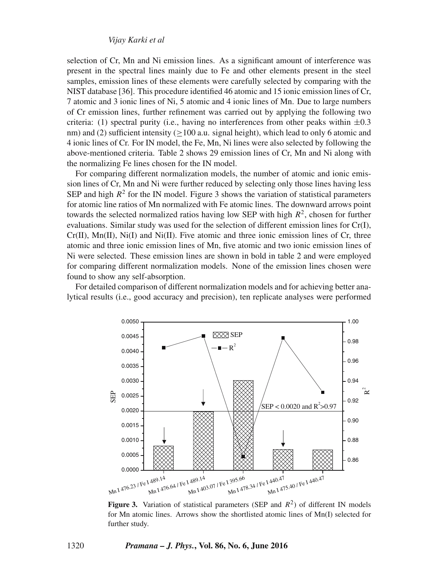selection of Cr, Mn and Ni emission lines. As a significant amount of interference was present in the spectral lines mainly due to Fe and other elements present in the steel samples, emission lines of these elements were carefully selected by comparing with the NIST database [36]. This procedure identified 46 atomic and 15 ionic emission lines of Cr, 7 atomic and 3 ionic lines of Ni, 5 atomic and 4 ionic lines of Mn. Due to large numbers of Cr emission lines, further refinement was carried out by applying the following two criteria: (1) spectral purity (i.e., having no interferences from other peaks within  $\pm 0.3$ nm) and (2) sufficient intensity  $(>100$  a.u. signal height), which lead to only 6 atomic and 4 ionic lines of Cr. For IN model, the Fe, Mn, Ni lines were also selected by following the above-mentioned criteria. Table 2 shows 29 emission lines of Cr, Mn and Ni along with the normalizing Fe lines chosen for the IN model.

For comparing different normalization models, the number of atomic and ionic emission lines of Cr, Mn and Ni were further reduced by selecting only those lines having less SEP and high  $R^2$  for the IN model. Figure 3 shows the variation of statistical parameters for atomic line ratios of Mn normalized with Fe atomic lines. The downward arrows point towards the selected normalized ratios having low SEP with high  $R<sup>2</sup>$ , chosen for further evaluations. Similar study was used for the selection of different emission lines for Cr(I),  $Cr(II)$ ,  $Mn(II)$ ,  $Ni(II)$  and  $Ni(II)$ . Five atomic and three ionic emission lines of Cr, three atomic and three ionic emission lines of Mn, five atomic and two ionic emission lines of Ni were selected. These emission lines are shown in bold in table 2 and were employed for comparing different normalization models. None of the emission lines chosen were found to show any self-absorption.

For detailed comparison of different normalization models and for achieving better analytical results (i.e., good accuracy and precision), ten replicate analyses were performed



**Figure 3.** Variation of statistical parameters (SEP and  $R^2$ ) of different IN models for Mn atomic lines. Arrows show the shortlisted atomic lines of Mn(I) selected for further study.

1320 *Pramana – J. Phys.***, Vol. 86, No. 6, June 2016**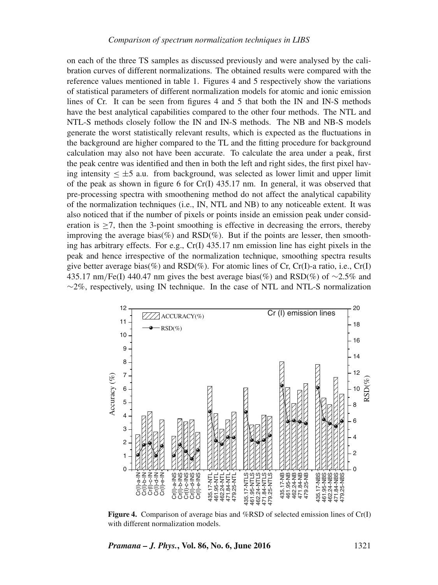on each of the three TS samples as discussed previously and were analysed by the calibration curves of different normalizations. The obtained results were compared with the reference values mentioned in table 1. Figures 4 and 5 respectively show the variations of statistical parameters of different normalization models for atomic and ionic emission lines of Cr. It can be seen from figures 4 and 5 that both the IN and IN-S methods have the best analytical capabilities compared to the other four methods. The NTL and NTL-S methods closely follow the IN and IN-S methods. The NB and NB-S models generate the worst statistically relevant results, which is expected as the fluctuations in the background are higher compared to the TL and the fitting procedure for background calculation may also not have been accurate. To calculate the area under a peak, first the peak centre was identified and then in both the left and right sides, the first pixel having intensity  $\leq \pm 5$  a.u. from background, was selected as lower limit and upper limit of the peak as shown in figure 6 for Cr(I) 435.17 nm. In general, it was observed that pre-processing spectra with smoothening method do not affect the analytical capability of the normalization techniques (i.e., IN, NTL and NB) to any noticeable extent. It was also noticed that if the number of pixels or points inside an emission peak under consideration is  $\geq$ 7, then the 3-point smoothing is effective in decreasing the errors, thereby improving the average bias(%) and  $\text{RSD}(\%)$ . But if the points are lesser, then smoothing has arbitrary effects. For e.g.,  $Cr(I)$  435.17 nm emission line has eight pixels in the peak and hence irrespective of the normalization technique, smoothing spectra results give better average bias(%) and RSD(%). For atomic lines of Cr, Cr(I)-a ratio, i.e., Cr(I) 435.17 nm/Fe(I) 440.47 nm gives the best average bias(%) and RSD(%) of  $\sim$ 2.5% and  $\sim$ 2%, respectively, using IN technique. In the case of NTL and NTL-S normalization



**Figure 4.** Comparison of average bias and %RSD of selected emission lines of Cr(I) with different normalization models.

*Pramana – J. Phys.***, Vol. 86, No. 6, June 2016** 1321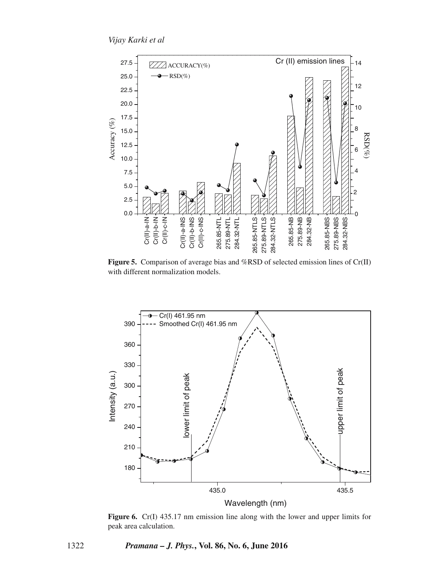

**Figure 5.** Comparison of average bias and %RSD of selected emission lines of Cr(II) with different normalization models.



**Figure 6.** Cr(I) 435.17 nm emission line along with the lower and upper limits for peak area calculation.

1322 *Pramana – J. Phys.***, Vol. 86, No. 6, June 2016**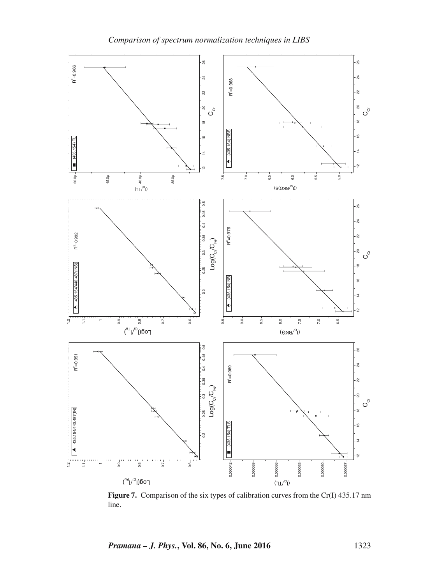

Figure 7. Comparison of the six types of calibration curves from the Cr(I) 435.17 nm line.

*Pramana – J. Phys.***, Vol. 86, No. 6, June 2016** 1323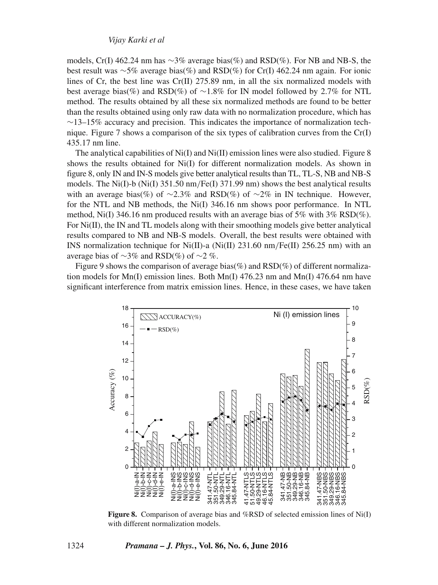models, Cr(I) 462.24 nm has ∼3% average bias(%) and RSD(%). For NB and NB-S, the best result was ∼5% average bias(%) and RSD(%) for Cr(I) 462.24 nm again. For ionic lines of Cr, the best line was Cr(II) 275.89 nm, in all the six normalized models with best average bias(%) and RSD(%) of ∼1.8% for IN model followed by 2.7% for NTL method. The results obtained by all these six normalized methods are found to be better than the results obtained using only raw data with no normalization procedure, which has  $\sim$ 13–15% accuracy and precision. This indicates the importance of normalization technique. Figure 7 shows a comparison of the six types of calibration curves from the Cr(I) 435.17 nm line.

The analytical capabilities of  $Ni(I)$  and  $Ni(II)$  emission lines were also studied. Figure 8 shows the results obtained for Ni(I) for different normalization models. As shown in figure 8, only IN and IN-S models give better analytical results than TL, TL-S, NB and NB-S models. The Ni(I)-b (Ni(I) 351.50 nm/Fe(I) 371.99 nm) shows the best analytical results with an average bias(%) of ~2.3% and RSD(%) of ~2% in IN technique. However, for the NTL and NB methods, the Ni(I) 346.16 nm shows poor performance. In NTL method, Ni(I) 346.16 nm produced results with an average bias of 5% with  $3\%$  RSD(%). For  $Ni(II)$ , the IN and TL models along with their smoothing models give better analytical results compared to NB and NB-S models. Overall, the best results were obtained with INS normalization technique for  $Ni(II)$ -a ( $Ni(II)$  231.60 nm/Fe(II) 256.25 nm) with an average bias of  $\sim$ 3% and RSD(%) of  $\sim$ 2 %.

Figure 9 shows the comparison of average bias(%) and  $RSD(\%)$  of different normalization models for  $Mn(I)$  emission lines. Both  $Mn(I)$  476.23 nm and  $Mn(I)$  476.64 nm have significant interference from matrix emission lines. Hence, in these cases, we have taken



**Figure 8.** Comparison of average bias and %RSD of selected emission lines of Ni(I) with different normalization models.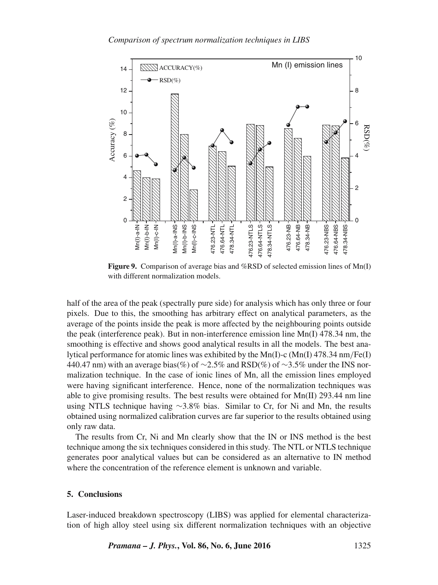

**Figure 9.** Comparison of average bias and %RSD of selected emission lines of Mn(I) with different normalization models.

half of the area of the peak (spectrally pure side) for analysis which has only three or four pixels. Due to this, the smoothing has arbitrary effect on analytical parameters, as the average of the points inside the peak is more affected by the neighbouring points outside the peak (interference peak). But in non-interference emission line  $Mn(I)$  478.34 nm, the smoothing is effective and shows good analytical results in all the models. The best analytical performance for atomic lines was exhibited by the Mn(I)-c (Mn(I) 478.34 nm/Fe(I) 440.47 nm) with an average bias(%) of  $\sim$ 2.5% and RSD(%) of  $\sim$ 3.5% under the INS normalization technique. In the case of ionic lines of Mn, all the emission lines employed were having significant interference. Hence, none of the normalization techniques was able to give promising results. The best results were obtained for  $Mn(II)$  293.44 nm line using NTLS technique having ∼3.8% bias. Similar to Cr, for Ni and Mn, the results obtained using normalized calibration curves are far superior to the results obtained using only raw data.

The results from Cr, Ni and Mn clearly show that the IN or INS method is the best technique among the six techniques considered in this study. The NTL or NTLS technique generates poor analytical values but can be considered as an alternative to IN method where the concentration of the reference element is unknown and variable.

#### **5. Conclusions**

Laser-induced breakdown spectroscopy (LIBS) was applied for elemental characterization of high alloy steel using six different normalization techniques with an objective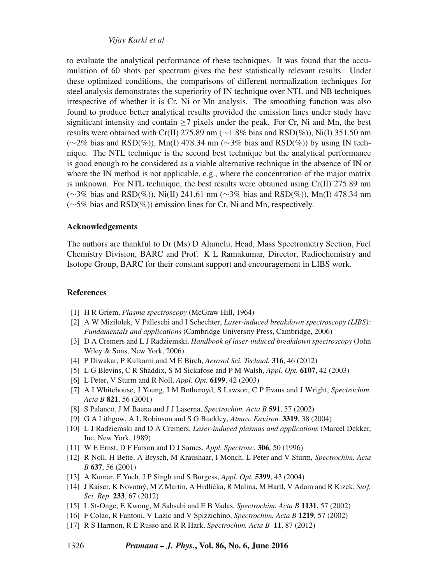to evaluate the analytical performance of these techniques. It was found that the accumulation of 60 shots per spectrum gives the best statistically relevant results. Under these optimized conditions, the comparisons of different normalization techniques for steel analysis demonstrates the superiority of IN technique over NTL and NB techniques irrespective of whether it is Cr, Ni or Mn analysis. The smoothing function was also found to produce better analytical results provided the emission lines under study have significant intensity and contain  $\geq 7$  pixels under the peak. For Cr, Ni and Mn, the best results were obtained with Cr(II) 275.89 nm (∼1.8% bias and RSD(%)), Ni(I) 351.50 nm  $(\sim 2\%$  bias and RSD(%)), Mn(I) 478.34 nm ( $\sim 3\%$  bias and RSD(%)) by using IN technique. The NTL technique is the second best technique but the analytical performance is good enough to be considered as a viable alternative technique in the absence of IN or where the IN method is not applicable, e.g., where the concentration of the major matrix is unknown. For NTL technique, the best results were obtained using Cr(II) 275.89 nm (∼3% bias and RSD(%)), Ni(II) 241.61 nm (∼3% bias and RSD(%)), Mn(I) 478.34 nm (∼5% bias and RSD(%)) emission lines for Cr, Ni and Mn, respectively.

#### **Acknowledgements**

The authors are thankful to Dr (Ms) D Alamelu, Head, Mass Spectrometry Section, Fuel Chemistry Division, BARC and Prof. K L Ramakumar, Director, Radiochemistry and Isotope Group, BARC for their constant support and encouragement in LIBS work.

#### **References**

- [1] H R Griem, *Plasma spectroscopy* (McGraw Hill, 1964)
- [2] A W Mizilolek, V Palleschi and I Schechter, *Laser-induced breakdown spectroscopy (LIBS): Fundamentals and applications* (Cambridge University Press, Cambridge, 2006)
- [3] D A Cremers and L J Radziemski, *Handbook of laser-induced breakdown spectroscopy* (John Wiley & Sons, New York, 2006)
- [4] P Diwakar, P Kulkarni and M E Birch, *Aerosol Sci. Technol.* **316**, 46 (2012)
- [5] L G Blevins, C R Shaddix, S M Sickafose and P M Walsh, *Appl. Opt.* **6107**, 42 (2003)
- [6] L Peter, V Sturm and R Noll, *Appl. Opt.* **6199**, 42 (2003)
- [7] A I Whitehouse, J Young, I M Botheroyd, S Lawson, C P Evans and J Wright, *Spectrochim. Acta B* **821**, 56 (2001)
- [8] S Palanco, J M Baena and J J Laserna, *Spectrochim. Acta B* **591**, 57 (2002)
- [9] G A Lithgow, A L Robinson and S G Buckley, *Atmos. En*v*iron.* **<sup>3319</sup>**, 38 (2004)
- [10] L J Radziemski and D A Cremers, *Laser-induced plasmas and applications* (Marcel Dekker, Inc, New York, 1989)
- [11] W E Ernst, D F Farson and D J Sames, *Appl. Spectrosc.* **306**, 50 (1996)
- [12] R Noll, H Bette, A Brysch, M Kraushaar, I Monch, L Peter and V Sturm, *Spectrochim. Acta B* **637**, 56 (2001)
- [13] A Kumar, F Yueh, J P Singh and S Burgess, *Appl. Opt.* **5399**, 43 (2004)
- [14] J Kaiser, K Novotný, M Z Martin, A Hrdlička, R Malina, M Hartl, V Adam and R Kizek, Surf. *Sci. Rep.* **233**, 67 (2012)
- [15] L St-Onge, E Kwong, M Sabsabi and E B Vadas, *Spectrochim. Acta B* **1131**, 57 (2002)
- [16] F Colao, R Fantoni, V Lazic and V Spizzichino, *Spectrochim. Acta B* **1219**, 57 (2002)
- [17] R S Harmon, R E Russo and R R Hark, *Spectrochim. Acta B* **11**, 87 (2012)